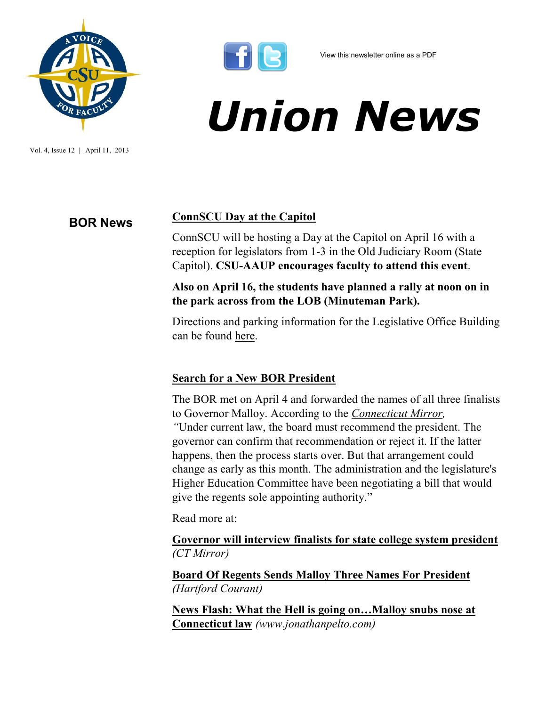

Vol. 4, Issue 12 | April 11, 2013



# *Union News*

# **BOR News ConnSCU Day at the Capitol**

ConnSCU will be hosting a Day at the Capitol on April 16 with a reception for legislators from 1-3 in the Old Judiciary Room (State Capitol). **CSU-AAUP encourages faculty to attend this event**.

### **Also on April 16, the students have planned a rally at noon on in the park across from the LOB (Minuteman Park).**

Directions and parking information for the Legislative Office Building can be found [here.](http://www.cga.ct.gov/capitoltours/directions.htm)

### **Search for a New BOR President**

The BOR met on April 4 and forwarded the names of all three finalists to Governor Malloy. According to the *[Connecticut Mirror,](http://www.ctmirror.org/story/19641/governor-will-get-pick-next-college-president)  "*Under current law, the board must recommend the president. The governor can confirm that recommendation or reject it. If the latter happens, then the process starts over. But that arrangement could change as early as this month. The administration and the legislature's Higher Education Committee have been negotiating a bill that would give the regents sole appointing authority."

Read more at:

**[Governor will interview finalists for state college system president](http://www.ctmirror.org/story/19641/governor-will-get-pick-next-college-president)** *(CT Mirror)*

**[Board Of Regents Sends Malloy Three Names For President](http://www.courant.com/news/education/hc-president-board-of-regents-20130404,0,5106180.story)** *(Hartford Courant)*

**[News Flash: What the Hell is going on…Malloy snubs nose at](http://jonathanpelto.com/2013/04/04/news-flash-what-the-hell-is-going-on-malloy-snubs-nose-at-connecticut-law/)  [Connecticut law](http://jonathanpelto.com/2013/04/04/news-flash-what-the-hell-is-going-on-malloy-snubs-nose-at-connecticut-law/)** *(www.jonathanpelto.com)*